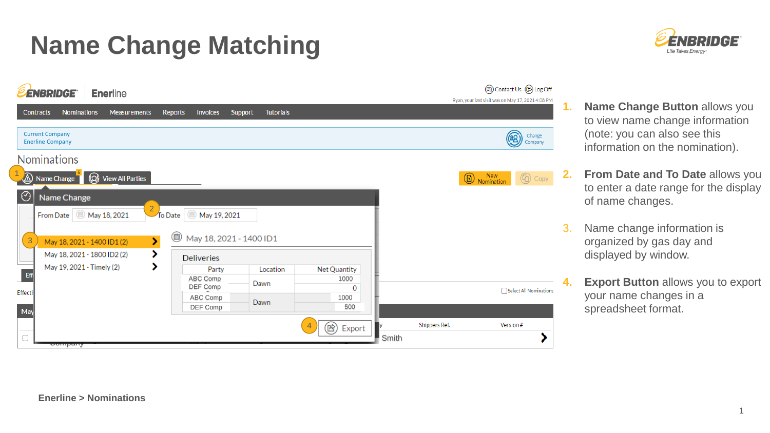## **Name Change Matching**





- **1. Name Change Button allows you** to view name change information (note: you can also see this information on the nomination).
- **2. From Date and To Date** allows you to enter a date range for the display of name changes.
- 3. Name change information is organized by gas day and displayed by window.
	- **4. Export Button** allows you to export your name changes in a spreadsheet format.